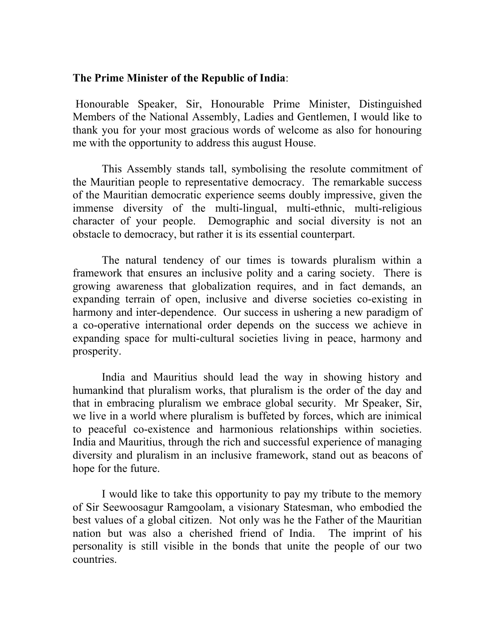## **The Prime Minister of the Republic of India**:

 Honourable Speaker, Sir, Honourable Prime Minister, Distinguished Members of the National Assembly, Ladies and Gentlemen, I would like to thank you for your most gracious words of welcome as also for honouring me with the opportunity to address this august House.

 This Assembly stands tall, symbolising the resolute commitment of the Mauritian people to representative democracy. The remarkable success of the Mauritian democratic experience seems doubly impressive, given the immense diversity of the multi-lingual, multi-ethnic, multi-religious character of your people. Demographic and social diversity is not an obstacle to democracy, but rather it is its essential counterpart.

 The natural tendency of our times is towards pluralism within a framework that ensures an inclusive polity and a caring society. There is growing awareness that globalization requires, and in fact demands, an expanding terrain of open, inclusive and diverse societies co-existing in harmony and inter-dependence. Our success in ushering a new paradigm of a co-operative international order depends on the success we achieve in expanding space for multi-cultural societies living in peace, harmony and prosperity.

 India and Mauritius should lead the way in showing history and humankind that pluralism works, that pluralism is the order of the day and that in embracing pluralism we embrace global security. Mr Speaker, Sir, we live in a world where pluralism is buffeted by forces, which are inimical to peaceful co-existence and harmonious relationships within societies. India and Mauritius, through the rich and successful experience of managing diversity and pluralism in an inclusive framework, stand out as beacons of hope for the future.

 I would like to take this opportunity to pay my tribute to the memory of Sir Seewoosagur Ramgoolam, a visionary Statesman, who embodied the best values of a global citizen. Not only was he the Father of the Mauritian nation but was also a cherished friend of India. The imprint of his personality is still visible in the bonds that unite the people of our two countries.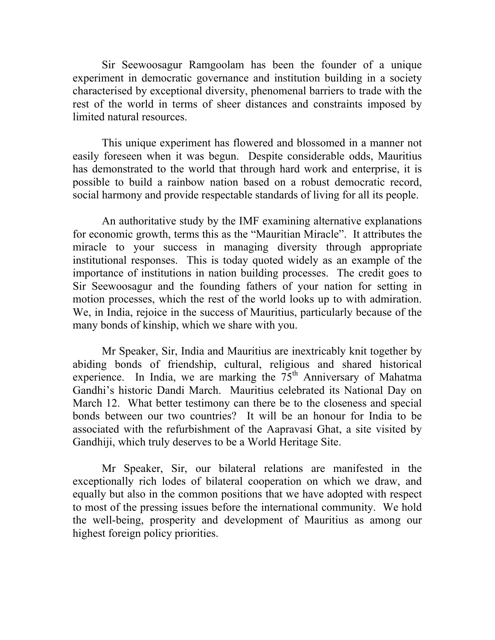Sir Seewoosagur Ramgoolam has been the founder of a unique experiment in democratic governance and institution building in a society characterised by exceptional diversity, phenomenal barriers to trade with the rest of the world in terms of sheer distances and constraints imposed by limited natural resources.

This unique experiment has flowered and blossomed in a manner not easily foreseen when it was begun. Despite considerable odds, Mauritius has demonstrated to the world that through hard work and enterprise, it is possible to build a rainbow nation based on a robust democratic record, social harmony and provide respectable standards of living for all its people.

 An authoritative study by the IMF examining alternative explanations for economic growth, terms this as the "Mauritian Miracle". It attributes the miracle to your success in managing diversity through appropriate institutional responses. This is today quoted widely as an example of the importance of institutions in nation building processes. The credit goes to Sir Seewoosagur and the founding fathers of your nation for setting in motion processes, which the rest of the world looks up to with admiration. We, in India, rejoice in the success of Mauritius, particularly because of the many bonds of kinship, which we share with you.

 Mr Speaker, Sir, India and Mauritius are inextricably knit together by abiding bonds of friendship, cultural, religious and shared historical experience. In India, we are marking the  $75<sup>th</sup>$  Anniversary of Mahatma Gandhi's historic Dandi March. Mauritius celebrated its National Day on March 12. What better testimony can there be to the closeness and special bonds between our two countries? It will be an honour for India to be associated with the refurbishment of the Aapravasi Ghat, a site visited by Gandhiji, which truly deserves to be a World Heritage Site.

 Mr Speaker, Sir, our bilateral relations are manifested in the exceptionally rich lodes of bilateral cooperation on which we draw, and equally but also in the common positions that we have adopted with respect to most of the pressing issues before the international community. We hold the well-being, prosperity and development of Mauritius as among our highest foreign policy priorities.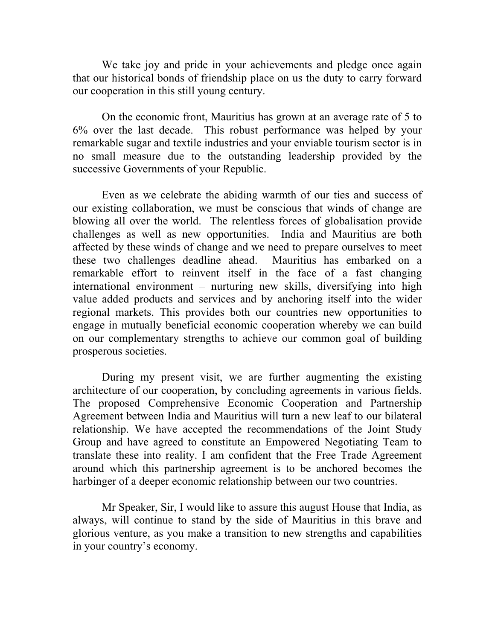We take joy and pride in your achievements and pledge once again that our historical bonds of friendship place on us the duty to carry forward our cooperation in this still young century.

 On the economic front, Mauritius has grown at an average rate of 5 to 6% over the last decade. This robust performance was helped by your remarkable sugar and textile industries and your enviable tourism sector is in no small measure due to the outstanding leadership provided by the successive Governments of your Republic.

 Even as we celebrate the abiding warmth of our ties and success of our existing collaboration, we must be conscious that winds of change are blowing all over the world. The relentless forces of globalisation provide challenges as well as new opportunities. India and Mauritius are both affected by these winds of change and we need to prepare ourselves to meet these two challenges deadline ahead. Mauritius has embarked on a remarkable effort to reinvent itself in the face of a fast changing international environment – nurturing new skills, diversifying into high value added products and services and by anchoring itself into the wider regional markets. This provides both our countries new opportunities to engage in mutually beneficial economic cooperation whereby we can build on our complementary strengths to achieve our common goal of building prosperous societies.

During my present visit, we are further augmenting the existing architecture of our cooperation, by concluding agreements in various fields. The proposed Comprehensive Economic Cooperation and Partnership Agreement between India and Mauritius will turn a new leaf to our bilateral relationship. We have accepted the recommendations of the Joint Study Group and have agreed to constitute an Empowered Negotiating Team to translate these into reality. I am confident that the Free Trade Agreement around which this partnership agreement is to be anchored becomes the harbinger of a deeper economic relationship between our two countries.

Mr Speaker, Sir, I would like to assure this august House that India, as always, will continue to stand by the side of Mauritius in this brave and glorious venture, as you make a transition to new strengths and capabilities in your country's economy.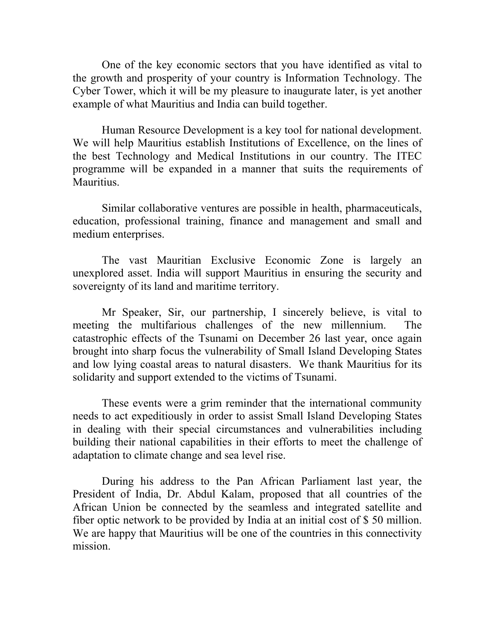One of the key economic sectors that you have identified as vital to the growth and prosperity of your country is Information Technology. The Cyber Tower, which it will be my pleasure to inaugurate later, is yet another example of what Mauritius and India can build together.

Human Resource Development is a key tool for national development. We will help Mauritius establish Institutions of Excellence, on the lines of the best Technology and Medical Institutions in our country. The ITEC programme will be expanded in a manner that suits the requirements of **Mauritius** 

Similar collaborative ventures are possible in health, pharmaceuticals, education, professional training, finance and management and small and medium enterprises.

The vast Mauritian Exclusive Economic Zone is largely an unexplored asset. India will support Mauritius in ensuring the security and sovereignty of its land and maritime territory.

 Mr Speaker, Sir, our partnership, I sincerely believe, is vital to meeting the multifarious challenges of the new millennium. The catastrophic effects of the Tsunami on December 26 last year, once again brought into sharp focus the vulnerability of Small Island Developing States and low lying coastal areas to natural disasters. We thank Mauritius for its solidarity and support extended to the victims of Tsunami.

These events were a grim reminder that the international community needs to act expeditiously in order to assist Small Island Developing States in dealing with their special circumstances and vulnerabilities including building their national capabilities in their efforts to meet the challenge of adaptation to climate change and sea level rise.

 During his address to the Pan African Parliament last year, the President of India, Dr. Abdul Kalam, proposed that all countries of the African Union be connected by the seamless and integrated satellite and fiber optic network to be provided by India at an initial cost of \$ 50 million. We are happy that Mauritius will be one of the countries in this connectivity mission.